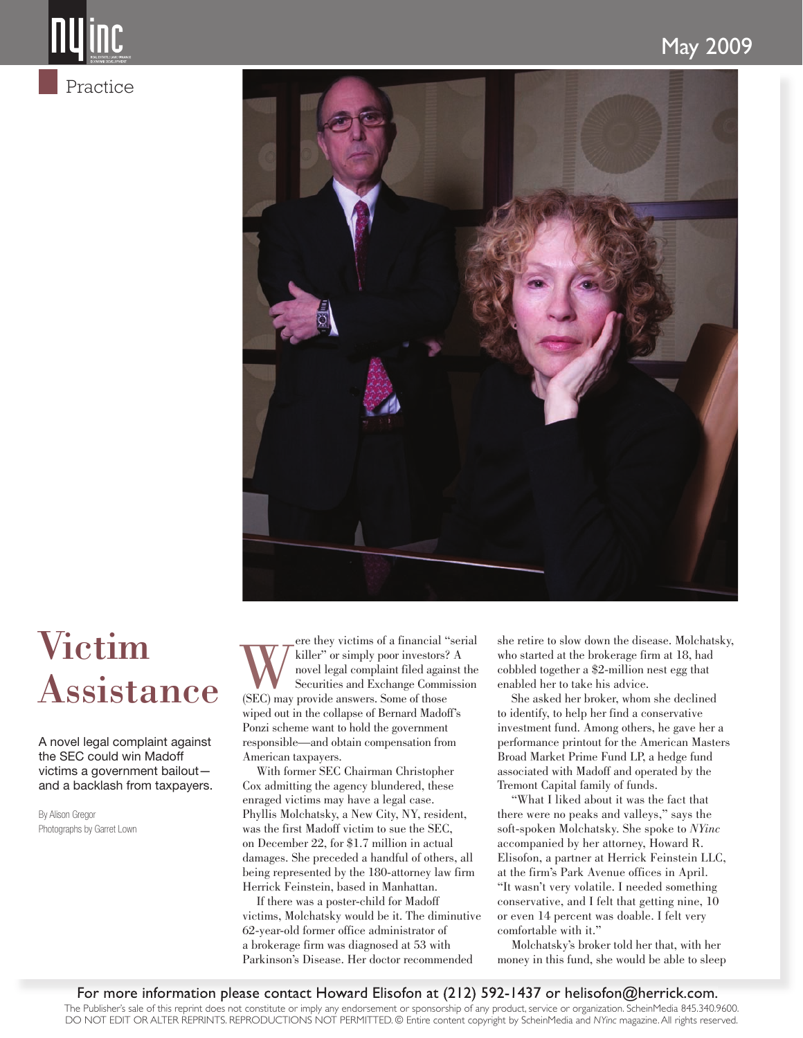



## Victim Assistance

A novel legal complaint against the SEC could win Madoff victims a government bailout and a backlash from taxpayers.

By Alison Gregor Photographs by Garret Lown ere they victims of a financial "serial"<br>killer" or simply poor investors? A<br>novel legal complaint filed against the<br>Securities and Exchange Commission<br>(SEC) may provide answers. Some of those killer" or simply poor investors? A novel legal complaint filed against the Securities and Exchange Commission (SEC) may provide answers. Some of those wiped out in the collapse of Bernard Madoff's Ponzi scheme want to hold the government responsible—and obtain compensation from American taxpayers.

With former SEC Chairman Christopher Cox admitting the agency blundered, these enraged victims may have a legal case. Phyllis Molchatsky, a New City, NY, resident, was the first Madoff victim to sue the SEC, on December 22, for \$1.7 million in actual damages. She preceded a handful of others, all being represented by the 180-attorney law firm Herrick Feinstein, based in Manhattan.

If there was a poster-child for Madoff victims, Molchatsky would be it. The diminutive 62-year-old former office administrator of a brokerage firm was diagnosed at 53 with Parkinson's Disease. Her doctor recommended

she retire to slow down the disease. Molchatsky, who started at the brokerage firm at 18, had cobbled together a \$2-million nest egg that enabled her to take his advice.

She asked her broker, whom she declined to identify, to help her find a conservative investment fund. Among others, he gave her a performance printout for the American Masters Broad Market Prime Fund LP, a hedge fund associated with Madoff and operated by the Tremont Capital family of funds.

"What I liked about it was the fact that there were no peaks and valleys," says the soft-spoken Molchatsky. She spoke to *NYinc*  accompanied by her attorney, Howard R. Elisofon, a partner at Herrick Feinstein LLC, at the firm's Park Avenue offices in April. "It wasn't very volatile. I needed something conservative, and I felt that getting nine, 10 or even 14 percent was doable. I felt very comfortable with it."

Molchatsky's broker told her that, with her money in this fund, she would be able to sleep

The Publisher's sale of this reprint does not constitute or imply any endorsement or sponsorship of any product, service or organization. ScheinMedia 845.340.9600. DO NOT EDIT OR ALTER REPRINTS. REPRODUCTIONS NOT PERMITTED. © Entire content copyright by ScheinMedia and *NYinc* magazine. All rights reserved.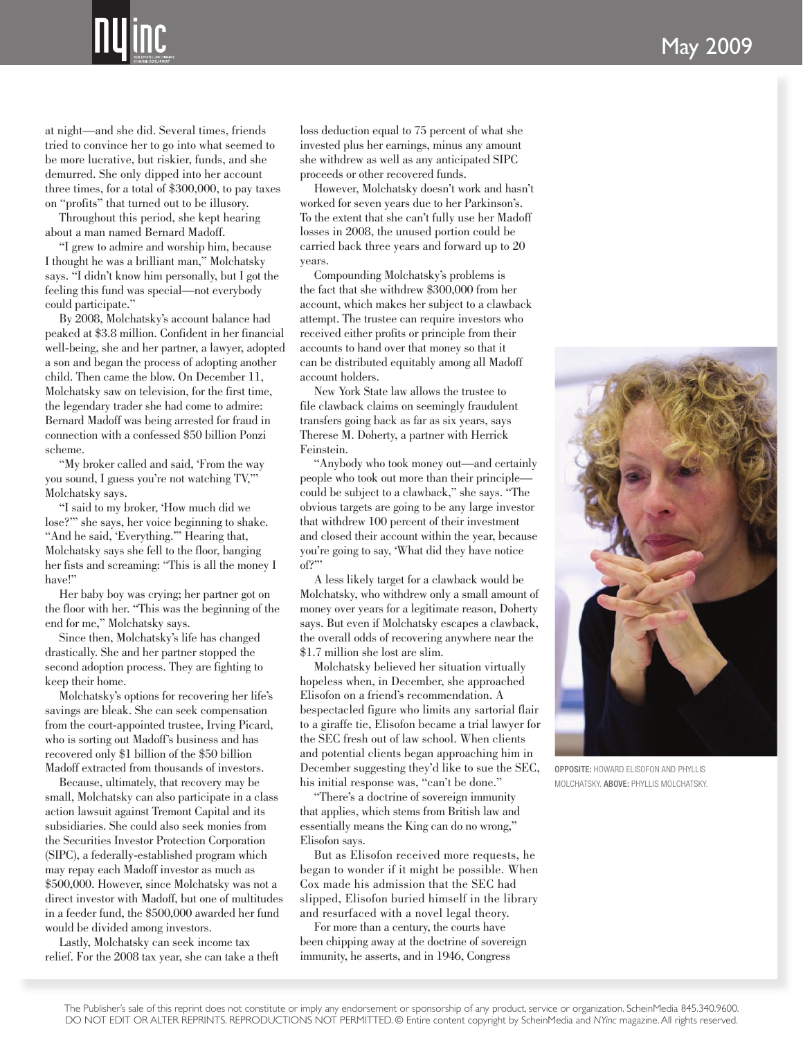## May 2009



at night—and she did. Several times, friends tried to convince her to go into what seemed to be more lucrative, but riskier, funds, and she demurred. She only dipped into her account three times, for a total of \$300,000, to pay taxes on "profits" that turned out to be illusory.

Throughout this period, she kept hearing about a man named Bernard Madoff.

"I grew to admire and worship him, because I thought he was a brilliant man," Molchatsky says. "I didn't know him personally, but I got the feeling this fund was special—not everybody could participate."

By 2008, Molchatsky's account balance had peaked at \$3.8 million. Confident in her financial well-being, she and her partner, a lawyer, adopted a son and began the process of adopting another child. Then came the blow. On December 11, Molchatsky saw on television, for the first time, the legendary trader she had come to admire: Bernard Madoff was being arrested for fraud in connection with a confessed \$50 billion Ponzi scheme.

"My broker called and said, 'From the way you sound, I guess you're not watching TV,'" Molchatsky says.

"I said to my broker, 'How much did we lose?'" she says, her voice beginning to shake. "And he said, 'Everything.'" Hearing that, Molchatsky says she fell to the floor, banging her fists and screaming: "This is all the money I have!"

Her baby boy was crying; her partner got on the floor with her. "This was the beginning of the end for me," Molchatsky says.

Since then, Molchatsky's life has changed drastically. She and her partner stopped the second adoption process. They are fighting to keep their home.

Molchatsky's options for recovering her life's savings are bleak. She can seek compensation from the court-appointed trustee, Irving Picard, who is sorting out Madoff's business and has recovered only \$1 billion of the \$50 billion Madoff extracted from thousands of investors.

Because, ultimately, that recovery may be small, Molchatsky can also participate in a class action lawsuit against Tremont Capital and its subsidiaries. She could also seek monies from the Securities Investor Protection Corporation (SIPC), a federally-established program which may repay each Madoff investor as much as \$500,000. However, since Molchatsky was not a direct investor with Madoff, but one of multitudes in a feeder fund, the \$500,000 awarded her fund would be divided among investors.

Lastly, Molchatsky can seek income tax relief. For the 2008 tax year, she can take a theft loss deduction equal to 75 percent of what she invested plus her earnings, minus any amount she withdrew as well as any anticipated SIPC proceeds or other recovered funds.

However, Molchatsky doesn't work and hasn't worked for seven years due to her Parkinson's. To the extent that she can't fully use her Madoff losses in 2008, the unused portion could be carried back three years and forward up to 20 years.

Compounding Molchatsky's problems is the fact that she withdrew \$300,000 from her account, which makes her subject to a clawback attempt. The trustee can require investors who received either profits or principle from their accounts to hand over that money so that it can be distributed equitably among all Madoff account holders.

New York State law allows the trustee to file clawback claims on seemingly fraudulent transfers going back as far as six years, says Therese M. Doherty, a partner with Herrick Feinstein.

"Anybody who took money out—and certainly people who took out more than their principle could be subject to a clawback," she says. "The obvious targets are going to be any large investor that withdrew 100 percent of their investment and closed their account within the year, because you're going to say, 'What did they have notice  $of?$ "

A less likely target for a clawback would be Molchatsky, who withdrew only a small amount of money over years for a legitimate reason, Doherty says. But even if Molchatsky escapes a clawback, the overall odds of recovering anywhere near the \$1.7 million she lost are slim.

Molchatsky believed her situation virtually hopeless when, in December, she approached Elisofon on a friend's recommendation. A bespectacled figure who limits any sartorial flair to a giraffe tie, Elisofon became a trial lawyer for the SEC fresh out of law school. When clients and potential clients began approaching him in December suggesting they'd like to sue the SEC, his initial response was, "can't be done."

"There's a doctrine of sovereign immunity that applies, which stems from British law and essentially means the King can do no wrong," Elisofon says.

But as Elisofon received more requests, he began to wonder if it might be possible. When Cox made his admission that the SEC had slipped, Elisofon buried himself in the library and resurfaced with a novel legal theory.

For more than a century, the courts have been chipping away at the doctrine of sovereign immunity, he asserts, and in 1946, Congress



OPPOSITE: HOWARD ELISOFON AND PHYLLIS MOLCHATSKY. ABOVE: PHYLLIS MOLCHATSKY.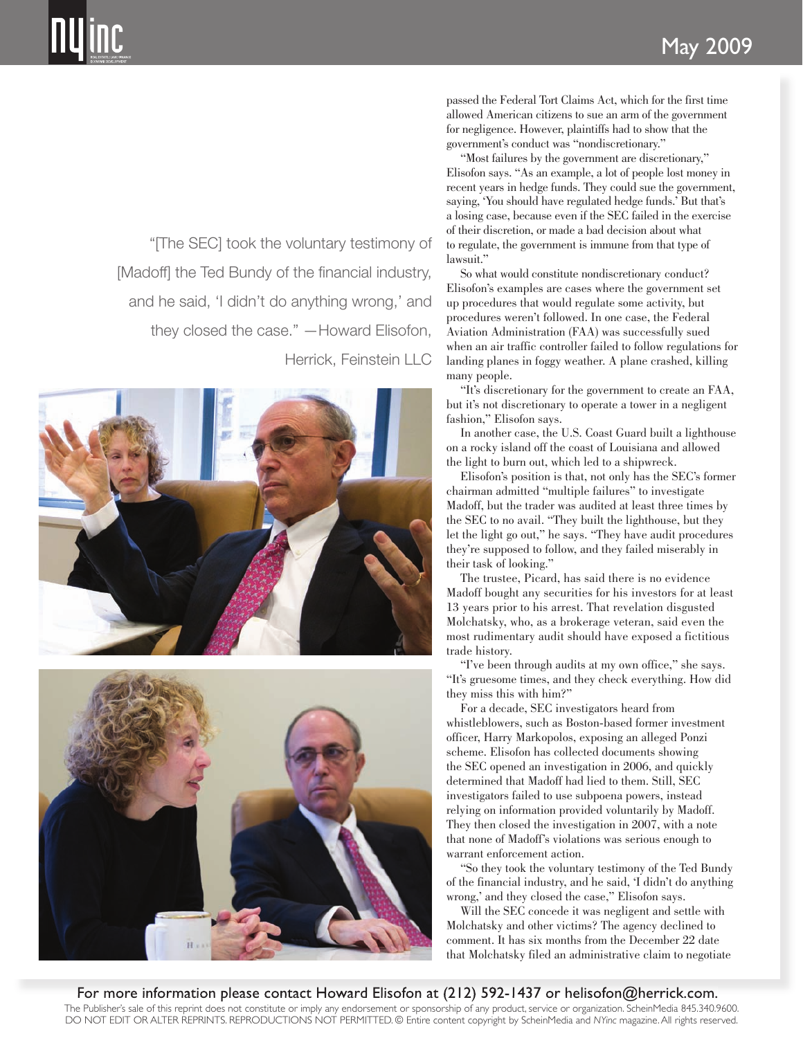"[The SEC] took the voluntary testimony of [Madoff] the Ted Bundy of the financial industry, and he said, 'I didn't do anything wrong,' and they closed the case." —Howard Elisofon, Herrick, Feinstein LLC





passed the Federal Tort Claims Act, which for the first time allowed American citizens to sue an arm of the government for negligence. However, plaintiffs had to show that the government's conduct was "nondiscretionary."

"Most failures by the government are discretionary," Elisofon says. "As an example, a lot of people lost money in recent years in hedge funds. They could sue the government, saying, 'You should have regulated hedge funds.' But that's a losing case, because even if the SEC failed in the exercise of their discretion, or made a bad decision about what to regulate, the government is immune from that type of lawsuit."

So what would constitute nondiscretionary conduct? Elisofon's examples are cases where the government set up procedures that would regulate some activity, but procedures weren't followed. In one case, the Federal Aviation Administration (FAA) was successfully sued when an air traffic controller failed to follow regulations for landing planes in foggy weather. A plane crashed, killing many people.

"It's discretionary for the government to create an FAA, but it's not discretionary to operate a tower in a negligent fashion," Elisofon says.

In another case, the U.S. Coast Guard built a lighthouse on a rocky island off the coast of Louisiana and allowed the light to burn out, which led to a shipwreck.

Elisofon's position is that, not only has the SEC's former chairman admitted "multiple failures" to investigate Madoff, but the trader was audited at least three times by the SEC to no avail. "They built the lighthouse, but they let the light go out," he says. "They have audit procedures they're supposed to follow, and they failed miserably in their task of looking."

The trustee, Picard, has said there is no evidence Madoff bought any securities for his investors for at least 13 years prior to his arrest. That revelation disgusted Molchatsky, who, as a brokerage veteran, said even the most rudimentary audit should have exposed a fictitious trade history.

"I've been through audits at my own office," she says. "It's gruesome times, and they check everything. How did they miss this with him?"

For a decade, SEC investigators heard from whistleblowers, such as Boston-based former investment officer, Harry Markopolos, exposing an alleged Ponzi scheme. Elisofon has collected documents showing the SEC opened an investigation in 2006, and quickly determined that Madoff had lied to them. Still, SEC investigators failed to use subpoena powers, instead relying on information provided voluntarily by Madoff. They then closed the investigation in 2007, with a note that none of Madoff's violations was serious enough to warrant enforcement action.

"So they took the voluntary testimony of the Ted Bundy of the financial industry, and he said, 'I didn't do anything wrong,' and they closed the case," Elisofon says.

Will the SEC concede it was negligent and settle with Molchatsky and other victims? The agency declined to comment. It has six months from the December 22 date that Molchatsky filed an administrative claim to negotiate

## For more information please contact Howard Elisofon at (212) 592-1437 or helisofon@herrick.com.

The Publisher's sale of this reprint does not constitute or imply any endorsement or sponsorship of any product, service or organization. ScheinMedia 845.340.9600. DO NOT EDIT OR ALTER REPRINTS. REPRODUCTIONS NOT PERMITTED. © Entire content copyright by ScheinMedia and *NYinc* magazine. All rights reserved.